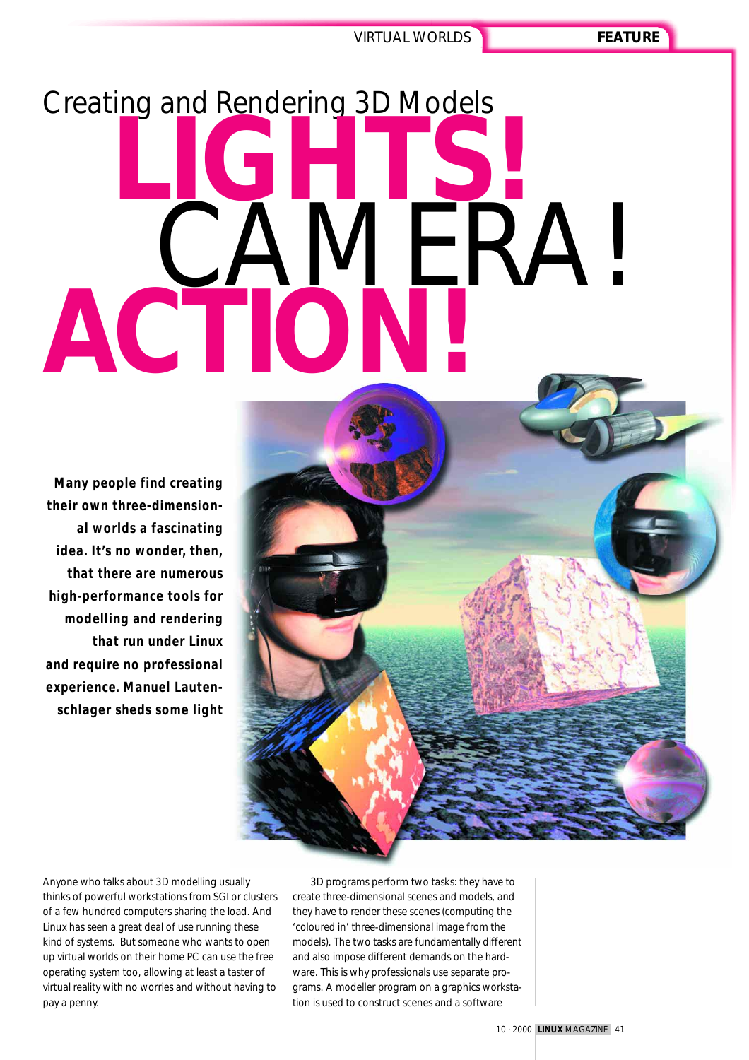# Creating and Rendering 3D Models **LIGHTS! AMERA!**<br>TIONTI **ACTION!**

**Many people find creating their own three-dimensional worlds a fascinating idea. It's no wonder, then, that there are numerous high-performance tools for modelling and rendering that run under Linux and require no professional experience. Manuel Lautenschlager sheds some light**

Anyone who talks about 3D modelling usually thinks of powerful workstations from SGI or clusters of a few hundred computers sharing the load. And Linux has seen a great deal of use running these kind of systems. But someone who wants to open up virtual worlds on their home PC can use the free operating system too, allowing at least a taster of virtual reality with no worries and without having to pay a penny.

3D programs perform two tasks: they have to create three-dimensional scenes and models, and they have to render these scenes (computing the 'coloured in' three-dimensional image from the models). The two tasks are fundamentally different and also impose different demands on the hardware. This is why professionals use separate programs. A modeller program on a graphics workstation is used to construct scenes and a software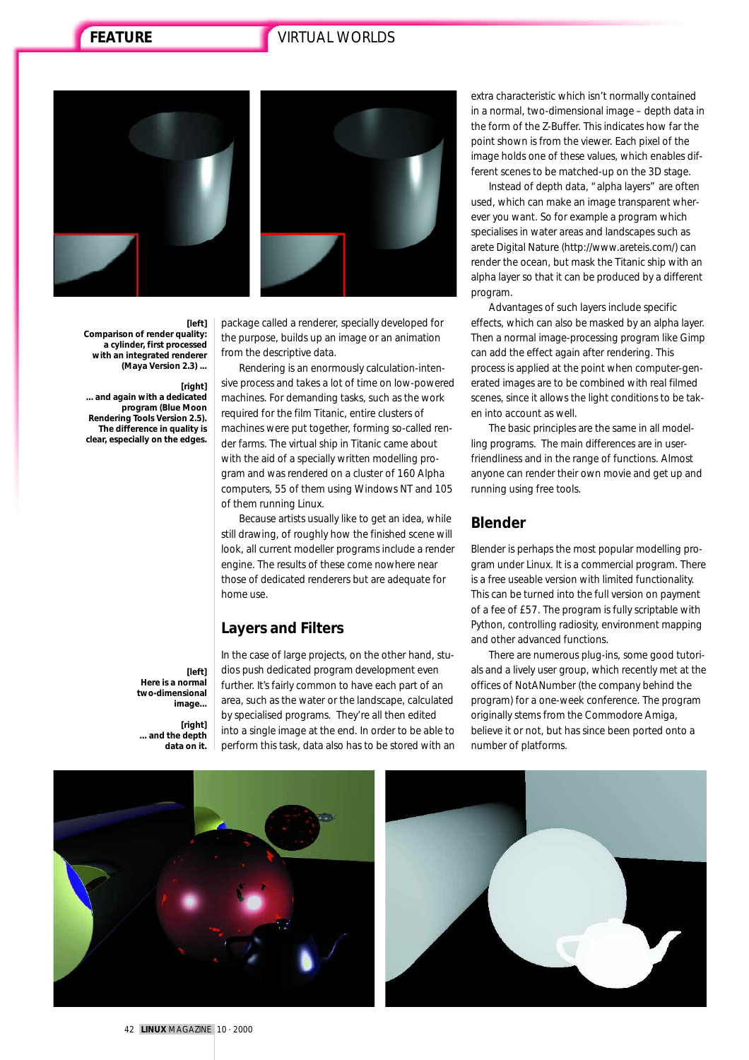# **FEATURE** VIRTUAL WORLDS



**[left] Comparison of render quality: a cylinder, first processed with an integrated renderer (Maya Version 2.3) ...**

#### **[right]**

**... and again with a dedicated program (Blue Moon Rendering Tools Version 2.5). The difference in quality is clear, especially on the edges.**

> **[left] Here is a normal two-dimensional image...**

**[right] ... and the depth data on it.**



package called a renderer, specially developed for the purpose, builds up an image or an animation from the descriptive data.

Rendering is an enormously calculation-intensive process and takes a lot of time on low-powered machines. For demanding tasks, such as the work required for the film Titanic, entire clusters of machines were put together, forming so-called render farms. The virtual ship in Titanic came about with the aid of a specially written modelling program and was rendered on a cluster of 160 Alpha computers, 55 of them using Windows NT and 105 of them running Linux.

Because artists usually like to get an idea, while still drawing, of roughly how the finished scene will look, all current modeller programs include a render engine. The results of these come nowhere near those of dedicated renderers but are adequate for home use.

#### **Layers and Filters**

In the case of large projects, on the other hand, studios push dedicated program development even further. It's fairly common to have each part of an area, such as the water or the landscape, calculated by specialised programs. They're all then edited into a single image at the end. In order to be able to perform this task, data also has to be stored with an

extra characteristic which isn't normally contained in a normal, two-dimensional image – depth data in the form of the Z-Buffer. This indicates how far the point shown is from the viewer. Each pixel of the image holds one of these values, which enables different scenes to be matched-up on the 3D stage.

Instead of depth data, "alpha layers" are often used, which can make an image transparent wherever you want. So for example a program which specialises in water areas and landscapes such as arete Digital Nature (http://www.areteis.com/) can render the ocean, but mask the Titanic ship with an alpha layer so that it can be produced by a different program.

Advantages of such layers include specific effects, which can also be masked by an alpha layer. Then a normal image-processing program like Gimp can add the effect again after rendering. This process is applied at the point when computer-generated images are to be combined with real filmed scenes, since it allows the light conditions to be taken into account as well.

The basic principles are the same in all modelling programs. The main differences are in userfriendliness and in the range of functions. Almost anyone can render their own movie and get up and running using free tools.

#### **Blender**

Blender is perhaps the most popular modelling program under Linux. It is a commercial program. There is a free useable version with limited functionality. This can be turned into the full version on payment of a fee of £57. The program is fully scriptable with Python, controlling radiosity, environment mapping and other advanced functions.

There are numerous plug-ins, some good tutorials and a lively user group, which recently met at the offices of NotANumber (the company behind the program) for a one-week conference. The program originally stems from the Commodore Amiga, believe it or not, but has since been ported onto a number of platforms.

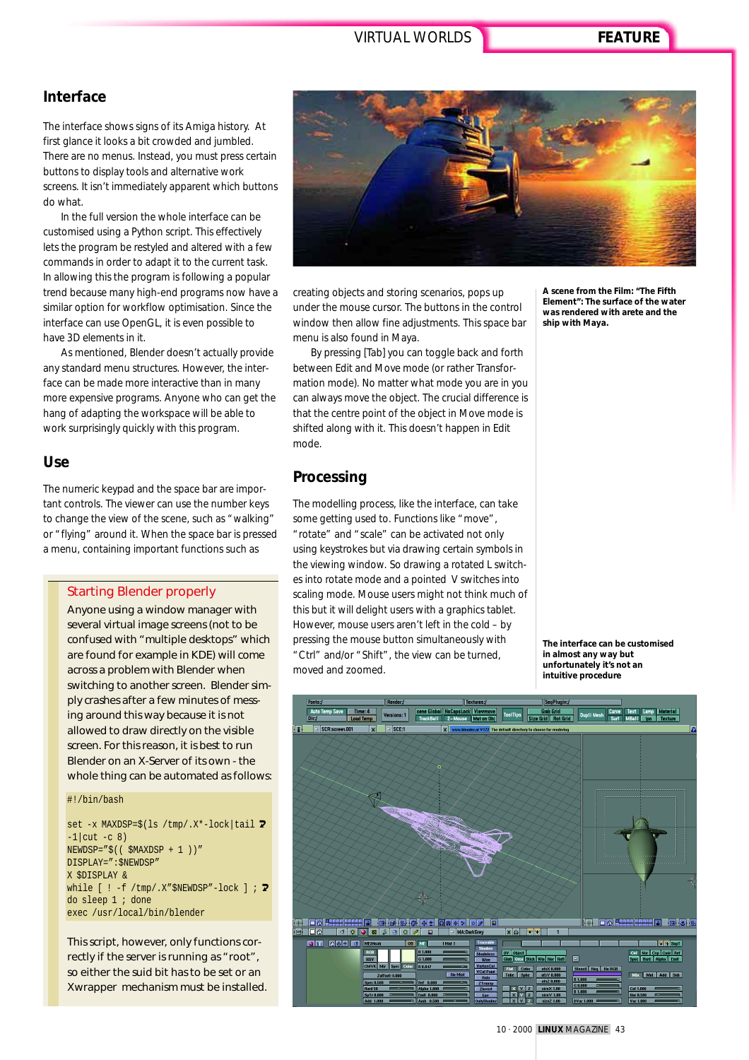### **Interface**

The interface shows signs of its Amiga history. At first glance it looks a bit crowded and jumbled. There are no menus. Instead, you must press certain buttons to display tools and alternative work screens. It isn't immediately apparent which buttons do what.

In the full version the whole interface can be customised using a Python script. This effectively lets the program be restyled and altered with a few commands in order to adapt it to the current task. In allowing this the program is following a popular trend because many high-end programs now have a similar option for workflow optimisation. Since the interface can use OpenGL, it is even possible to have 3D elements in it.

As mentioned, Blender doesn't actually provide any standard menu structures. However, the interface can be made more interactive than in many more expensive programs. Anyone who can get the hang of adapting the workspace will be able to work surprisingly quickly with this program.

#### **Use**

The numeric keypad and the space bar are important controls. The viewer can use the number keys to change the view of the scene, such as "walking" or "flying" around it. When the space bar is pressed a menu, containing important functions such as

#### *Starting Blender properly*

*Anyone using a window manager with several virtual image screens (not to be confused with "multiple desktops" which are found for example in KDE) will come across a problem with Blender when switching to another screen. Blender simply crashes after a few minutes of messing around this way because it is not allowed to draw directly on the visible screen. For this reason, it is best to run Blender on an X-Server of its own - the whole thing can be automated as follows:* 

#### #!/bin/bash

set -x MAXDSP= $$(ls /tmp/.X*-lock|tail 2)$  $-1$ |cut  $-c$  8)  $NEWDSP = "$( ( $MAXDSP + 1 ) )"$ DISPLAY=":\$NEWDSP" X \$DISPLAY & while  $[ \cdot ] -f / \text{tmp} / .X$ "\$NEWDSP"-lock  $]$ ; **2** do sleep 1 ; done exec /usr/local/bin/blender

*This script, however, only functions correctly if the server is running as "root", so either the suid bit has to be set or an Xwrapper mechanism must be installed.*



creating objects and storing scenarios, pops up under the mouse cursor. The buttons in the control window then allow fine adjustments. This space bar menu is also found in Maya.

By pressing [Tab] you can toggle back and forth between Edit and Move mode (or rather Transformation mode). No matter what mode you are in you can always move the object. The crucial difference is that the centre point of the object in Move mode is shifted along with it. This doesn't happen in Edit mode.

# **Processing**

The modelling process, like the interface, can take some getting used to. Functions like "move", "rotate" and "scale" can be activated not only using keystrokes but via drawing certain symbols in the viewing window. So drawing a rotated L switches into rotate mode and a pointed V switches into scaling mode. Mouse users might not think much of this but it will delight users with a graphics tablet. However, mouse users aren't left in the cold – by pressing the mouse button simultaneously with "Ctrl" and/or "Shift", the view can be turned, moved and zoomed.

**A scene from the Film: "The Fifth Element": The surface of the water was rendered with arete and the ship with Maya.**

**The interface can be customised in almost any way but unfortunately it's not an intuitive procedure**



10 · 2000 **LINUX** MAGAZINE 43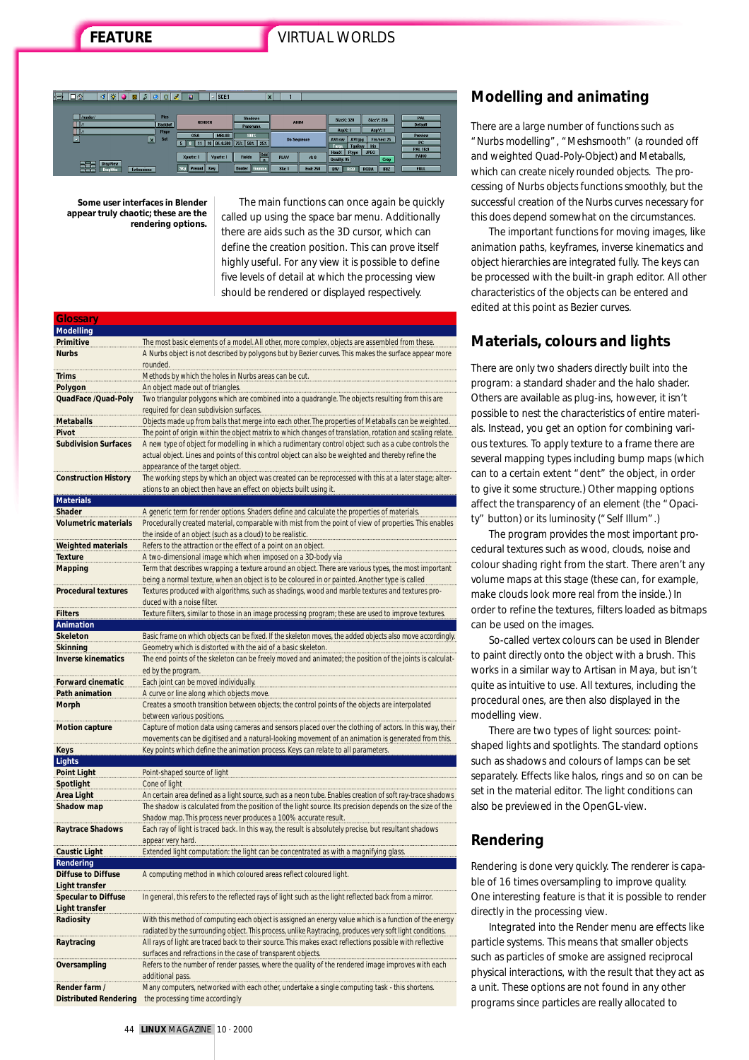# **FEATURE** VIRTUAL WORLDS

| ll Bl | ⊡≏<br>K.                                |                   | $\ddot{\bullet}$        | α              | 8<br>ы               | $-$ SCE:1      | <b>x</b>                      |        |                    |                                              |                            |                |
|-------|-----------------------------------------|-------------------|-------------------------|----------------|----------------------|----------------|-------------------------------|--------|--------------------|----------------------------------------------|----------------------------|----------------|
|       |                                         |                   |                         |                |                      |                |                               |        |                    |                                              |                            |                |
|       | /render/                                |                   |                         | Pics           |                      | <b>RENDER</b>  | <b>Shadows</b>                |        | <b>ANIM</b>        | <b>SizeX: 320</b>                            | <b>SizeY: 256</b>          | PAL            |
|       | $\Box$                                  |                   |                         | <b>Backbuf</b> |                      |                | Panorama                      |        |                    | AspX: 1                                      | AspV: 1                    | <b>Default</b> |
|       | $\blacksquare$                          |                   |                         | <b>Ftype</b>   | <b>OSA</b>           | <b>MBLUR</b>   | 100%                          |        |                    |                                              |                            | Preview        |
|       | E                                       |                   | $\overline{\mathbf{x}}$ |                |                      |                | 16 Bf: 0.500 75% 50% 25%      |        | <b>Do Sequence</b> | AVI raw<br>AVI jpg<br><b>TgaRaw</b><br>Targa | Frs/sec: 25<br><b>Iris</b> | <b>PC</b>      |
|       |                                         |                   |                         |                |                      |                | Odd                           |        |                    | <b>HamX</b><br><b>Ftype</b>                  | <b>JPEG</b>                | PAL 16:9       |
|       |                                         |                   |                         |                | Xparts: 1            | <b>Yparts:</b> | <b>Fields</b><br>$\mathbf{x}$ | PLAY   | rt: 0              | Quality: 95                                  | Crop                       | <b>PANO</b>    |
|       | <b>DispView</b><br><b>DispWin</b><br>mm | <b>Extensions</b> |                         |                | Sky<br><b>Premul</b> | Key            | <b>Border</b><br>Gamma        | Sta: 1 | <b>End: 250</b>    | <b>BW</b><br><b>RGB</b>                      | <b>IRIZ</b><br><b>RGBA</b> | <b>FULL</b>    |

**Some user interfaces in Blender appear truly chaotic; these are the rendering options.**

The main functions can once again be quickly called up using the space bar menu. Additionally there are aids such as the 3D cursor, which can define the creation position. This can prove itself highly useful. For any view it is possible to define five levels of detail at which the processing view should be rendered or displayed respectively.

| <b>Glossary</b>             |                                                                                                                                                                                                                                                |
|-----------------------------|------------------------------------------------------------------------------------------------------------------------------------------------------------------------------------------------------------------------------------------------|
| <b>Modelling</b>            |                                                                                                                                                                                                                                                |
| Primitive                   | The most basic elements of a model. All other, more complex, objects are assembled from these.                                                                                                                                                 |
| <b>Nurbs</b>                | A Nurbs object is not described by polygons but by Bezier curves. This makes the surface appear more<br>rounded.                                                                                                                               |
| <b>Trims</b>                | Methods by which the holes in Nurbs areas can be cut.                                                                                                                                                                                          |
| Polygon                     | An object made out of triangles.                                                                                                                                                                                                               |
| QuadFace /Quad-Poly         | Two triangular polygons which are combined into a quadrangle. The objects resulting from this are<br>required for clean subdivision surfaces.                                                                                                  |
|                             |                                                                                                                                                                                                                                                |
| <b>Metaballs</b>            | Objects made up from balls that merge into each other. The properties of Metaballs can be weighted.                                                                                                                                            |
| Pivot                       | The point of origin within the object matrix to which changes of translation, rotation and scaling relate.                                                                                                                                     |
| <b>Subdivision Surfaces</b> | A new type of object for modelling in which a rudimentary control object such as a cube controls the<br>actual object. Lines and points of this control object can also be weighted and thereby refine the<br>appearance of the target object. |
| <b>Construction History</b> | The working steps by which an object was created can be reprocessed with this at a later stage; alter-<br>ations to an object then have an effect on objects built using it.                                                                   |
| <b>Materials</b>            |                                                                                                                                                                                                                                                |
| Shader                      | A generic term for render options. Shaders define and calculate the properties of materials.                                                                                                                                                   |
| <b>Volumetric materials</b> | Procedurally created material, comparable with mist from the point of view of properties. This enables<br>the inside of an object (such as a cloud) to be realistic.                                                                           |
| <b>Weighted materials</b>   | Refers to the attraction or the effect of a point on an object.                                                                                                                                                                                |
| <b>Texture</b>              | A two-dimensional image which when imposed on a 3D-body via                                                                                                                                                                                    |
| <b>Mapping</b>              | Term that describes wrapping a texture around an object. There are various types, the most important<br>being a normal texture, when an object is to be coloured in or painted. Another type is called                                         |
| <b>Procedural textures</b>  | Textures produced with algorithms, such as shadings, wood and marble textures and textures pro-<br>duced with a noise filter.                                                                                                                  |
| <b>Filters</b>              | Texture filters, similar to those in an image processing program; these are used to improve textures.                                                                                                                                          |
| <b>Animation</b>            |                                                                                                                                                                                                                                                |
| <b>Skeleton</b>             | Basic frame on which objects can be fixed. If the skeleton moves, the added objects also move accordingly.                                                                                                                                     |
| <b>Skinning</b>             | Geometry which is distorted with the aid of a basic skeleton.                                                                                                                                                                                  |
| <b>Inverse kinematics</b>   | The end points of the skeleton can be freely moved and animated; the position of the joints is calculat-<br>ed by the program.                                                                                                                 |
| <b>Forward cinematic</b>    | Each joint can be moved individually.                                                                                                                                                                                                          |
| Path animation              | A curve or line along which objects move.                                                                                                                                                                                                      |
| <b>Morph</b>                | Creates a smooth transition between objects; the control points of the objects are interpolated<br>between various positions.                                                                                                                  |
| <b>Motion capture</b>       | Capture of motion data using cameras and sensors placed over the clothing of actors. In this way, their<br>movements can be digitised and a natural-looking movement of an animation is generated from this.                                   |
| Keys                        | Key points which define the animation process. Keys can relate to all parameters.                                                                                                                                                              |
| Lights                      |                                                                                                                                                                                                                                                |
| <b>Point Light</b>          | Point-shaped source of light                                                                                                                                                                                                                   |
| Spotlight                   | Cone of light                                                                                                                                                                                                                                  |
| <b>Area Light</b>           | An certain area defined as a light source, such as a neon tube. Enables creation of soft ray-trace shadows                                                                                                                                     |
| Shadow map                  | The shadow is calculated from the position of the light source. Its precision depends on the size of the<br>Shadow map. This process never produces a 100% accurate result.                                                                    |
| <b>Raytrace Shadows</b>     | Each ray of light is traced back. In this way, the result is absolutely precise, but resultant shadows<br>appear very hard.                                                                                                                    |
| <b>Caustic Light</b>        | Extended light computation: the light can be concentrated as with a magnifying glass.                                                                                                                                                          |
| Rendering                   |                                                                                                                                                                                                                                                |
| <b>Diffuse to Diffuse</b>   | A computing method in which coloured areas reflect coloured light.                                                                                                                                                                             |
| <b>Light transfer</b>       |                                                                                                                                                                                                                                                |
| <b>Specular to Diffuse</b>  | In general, this refers to the reflected rays of light such as the light reflected back from a mirror.                                                                                                                                         |
| <b>Light transfer</b>       |                                                                                                                                                                                                                                                |
| Radiosity                   | With this method of computing each object is assigned an energy value which is a function of the energy<br>radiated by the surrounding object. This process, unlike Raytracing, produces very soft light conditions.                           |
| Raytracing                  | All rays of light are traced back to their source. This makes exact reflections possible with reflective<br>surfaces and refractions in the case of transparent objects.                                                                       |
| Oversampling                | Refers to the number of render passes, where the quality of the rendered image improves with each<br>additional pass.                                                                                                                          |
| Render farm /               | Many computers, networked with each other, undertake a single computing task - this shortens.                                                                                                                                                  |
|                             | Distributed Rendering the processing time accordingly                                                                                                                                                                                          |

# **Modelling and animating**

There are a large number of functions such as "Nurbs modelling", "Meshsmooth" (a rounded off and weighted Quad-Poly-Object) and Metaballs, which can create nicely rounded objects. The processing of Nurbs objects functions smoothly, but the successful creation of the Nurbs curves necessary for this does depend somewhat on the circumstances.

The important functions for moving images, like animation paths, keyframes, inverse kinematics and object hierarchies are integrated fully. The keys can be processed with the built-in graph editor. All other characteristics of the objects can be entered and edited at this point as Bezier curves.

# **Materials, colours and lights**

There are only two shaders directly built into the program: a standard shader and the halo shader. Others are available as plug-ins, however, it isn't possible to nest the characteristics of entire materials. Instead, you get an option for combining various textures. To apply texture to a frame there are several mapping types including bump maps (which can to a certain extent "dent" the object, in order to give it some structure.) Other mapping options affect the transparency of an element (the "Opacity" button) or its luminosity ("Self Illum".)

The program provides the most important procedural textures such as wood, clouds, noise and colour shading right from the start. There aren't any volume maps at this stage (these can, for example, make clouds look more real from the inside.) In order to refine the textures, filters loaded as bitmaps can be used on the images.

So-called vertex colours can be used in Blender to paint directly onto the object with a brush. This works in a similar way to Artisan in Maya, but isn't quite as intuitive to use. All textures, including the procedural ones, are then also displayed in the modelling view.

There are two types of light sources: pointshaped lights and spotlights. The standard options such as shadows and colours of lamps can be set separately. Effects like halos, rings and so on can be set in the material editor. The light conditions can also be previewed in the OpenGL-view.

# **Rendering**

Rendering is done very quickly. The renderer is capable of 16 times oversampling to improve quality. One interesting feature is that it is possible to render directly in the processing view.

Integrated into the Render menu are effects like particle systems. This means that smaller objects such as particles of smoke are assigned reciprocal physical interactions, with the result that they act as a unit. These options are not found in any other programs since particles are really allocated to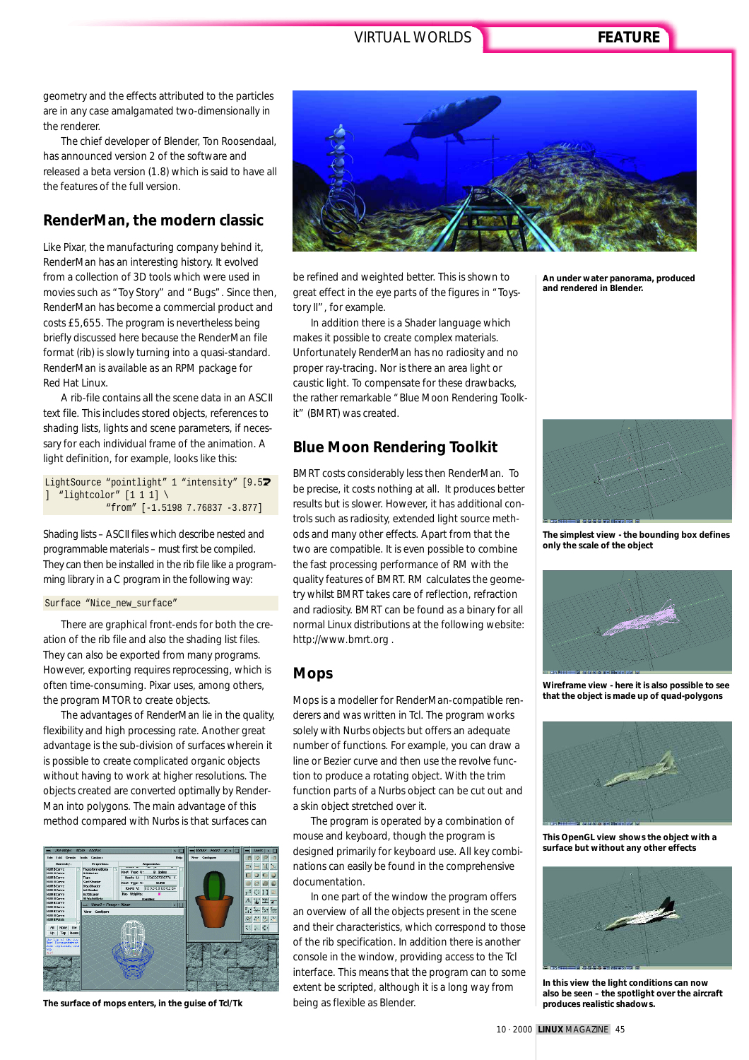geometry and the effects attributed to the particles are in any case amalgamated two-dimensionally in the renderer.

The chief developer of Blender, Ton Roosendaal, has announced version 2 of the software and released a beta version (1.8) which is said to have all the features of the full version.

## **RenderMan, the modern classic**

Like Pixar, the manufacturing company behind it, RenderMan has an interesting history. It evolved from a collection of 3D tools which were used in movies such as "Toy Story" and "Bugs". Since then, RenderMan has become a commercial product and costs £5,655. The program is nevertheless being briefly discussed here because the RenderMan file format (rib) is slowly turning into a quasi-standard. RenderMan is available as an RPM package for Red Hat Linux.

A rib-file contains all the scene data in an ASCII text file. This includes stored objects, references to shading lists, lights and scene parameters, if necessary for each individual frame of the animation. A light definition, for example, looks like this:

LightSource "pointlight" 1 "intensity" [9.57 ] "lightcolor" [1 1 1] \ "from" [-1.5198 7.76837 -3.877]

Shading lists – ASCII files which describe nested and programmable materials – must first be compiled. They can then be installed in the rib file like a programming library in a C program in the following way:

#### Surface "Nice\_new\_surface"

There are graphical front-ends for both the creation of the rib file and also the shading list files. They can also be exported from many programs. However, exporting requires reprocessing, which is often time-consuming. Pixar uses, among others, the program MTOR to create objects.

The advantages of RenderMan lie in the quality, flexibility and high processing rate. Another great advantage is the sub-division of surfaces wherein it is possible to create complicated organic objects without having to work at higher resolutions. The objects created are converted optimally by Render-Man into polygons. The main advantage of this method compared with Nurbs is that surfaces can





be refined and weighted better. This is shown to great effect in the eye parts of the figures in "Toystory II", for example.

In addition there is a Shader language which makes it possible to create complex materials. Unfortunately RenderMan has no radiosity and no proper ray-tracing. Nor is there an area light or caustic light. To compensate for these drawbacks, the rather remarkable "Blue Moon Rendering Toolkit" (BMRT) was created.

# **Blue Moon Rendering Toolkit**

BMRT costs considerably less then RenderMan. To be precise, it costs nothing at all. It produces better results but is slower. However, it has additional controls such as radiosity, extended light source methods and many other effects. Apart from that the two are compatible. It is even possible to combine the fast processing performance of RM with the quality features of BMRT. RM calculates the geometry whilst BMRT takes care of reflection, refraction and radiosity. BMRT can be found as a binary for all normal Linux distributions at the following website: http://www.bmrt.org .

#### **Mops**

Mops is a modeller for RenderMan-compatible renderers and was written in Tcl. The program works solely with Nurbs objects but offers an adequate number of functions. For example, you can draw a line or Bezier curve and then use the revolve function to produce a rotating object. With the trim function parts of a Nurbs object can be cut out and a skin object stretched over it.

The program is operated by a combination of mouse and keyboard, though the program is designed primarily for keyboard use. All key combinations can easily be found in the comprehensive documentation.

In one part of the window the program offers an overview of all the objects present in the scene and their characteristics, which correspond to those of the rib specification. In addition there is another console in the window, providing access to the Tcl interface. This means that the program can to some extent be scripted, although it is a long way from being as flexible as Blender. **The surface of mops enters, in the guise of Tcl/Tk produces realistic shadows. produces realistic shadows.** 

**An under water panorama, produced and rendered in Blender.**



**The simplest view - the bounding box defines only the scale of the object**



**Wireframe view - here it is also possible to see that the object is made up of quad-polygons**



**This OpenGL view shows the object with a surface but without any other effects**



**In this view the light conditions can now also be seen – the spotlight over the aircraft**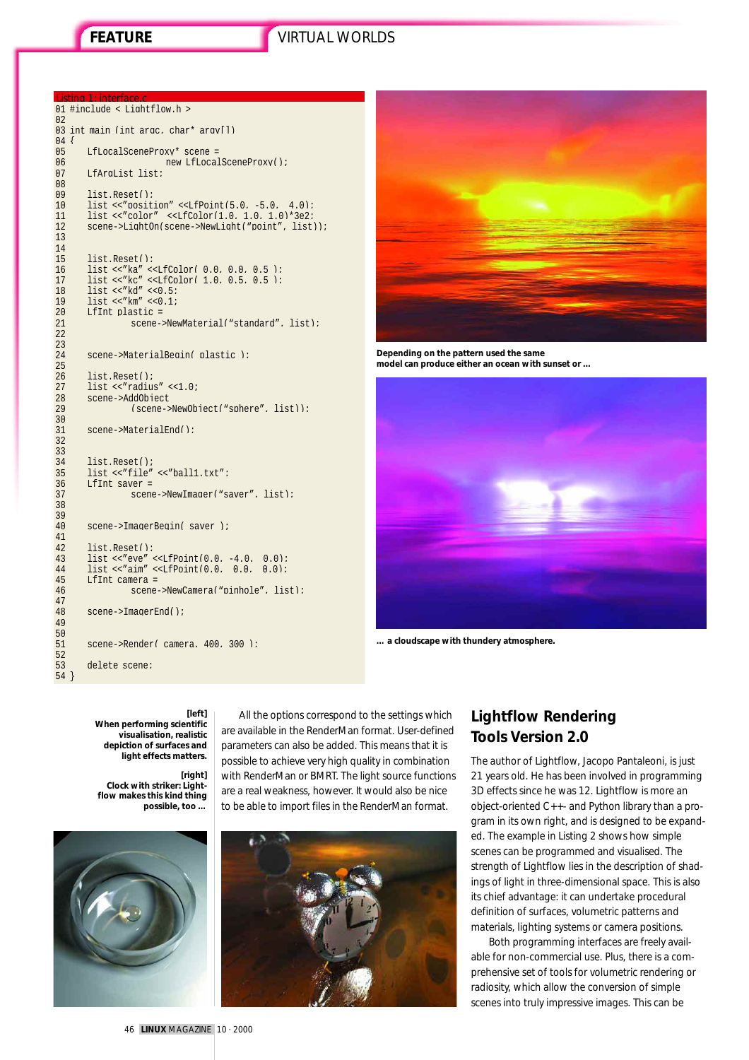#### Listing 1: interface.c 01 #include < Lightflow.h >

```
02
03 int main (int argc, char* argv[])
\begin{array}{c} 04 \\ 05 \end{array}05 LfLocalSceneProxy* scene =<br>06 mew LfLocal
06 new LfLocalSceneProxy();<br>07 LfArqList list;
         LfArgList list;
08<br>09
09 list.Reset();<br>10 list << "posit.
10 list <<"position" <<LfPoint(5.0, -5.0, 4.0);<br>11 list <<"color" <<LfColor(1.0, 1.0, 1.0)*3e2;
11 list <<"color" <<LfColor(1.0, 1.0, 1.0)*3e2;<br>12 scene->LightOn(scene->NewLight("point", list
         scene->LightOn(scene->NewLight("point", list));
13
14<br>1515 list.Reset();<br>16 list << "ka" <
16 list <<"ka" <<LfColor( 0.0, 0.0, 0.5 );<br>17 list <<"kc" <<LfColor( 1.0, 0.5, 0.5 );
         list \ll kc" \ll LfColor( 1.0. 0.5. 0.5 );
18 list <<"kd" <<0.5;
19 list <<"km" <<0.1;
         LfInt plastic =scene->NewMaterial("standard", list);
\frac{20}{21}<br>21<br>22
23
         scene->MaterialBegin( plastic );
25
26 list.Reset();<br>27 list << "radius"<br>28 scene->AddObi
         list <<"radius" <<1.0;
28 scene->AddObject<br>29 (scene-
                     29 (scene->NewObject("sphere", list));
\frac{30}{31}scene->MaterialEnd();
32
33
34 list.Reset();<br>35 list << "file"
35 list <<"file" <<"br/>ball1.txt"; 36 <br> LifInt saver =
36 LfInt saver =<br>37 scene
                     scene->NewImager("saver", list);
38
39
         scene->ImagerBegin( saver );
41<br>4242 list.Reset();<br>43 list << "eve" .
43 list <<"eve" <<LfPoint(0.0, -4.0, 0.0);<br>44 list <<"aim" <<LfPoint(0.0, 0.0, 0.0);
44 list \langle"aim" \langleLifPoint(0.0, 0.0, 0.0);<br>45 LifInt camera =
45 LfInt camera =
                     scene->NewCamera("pinhole", list);
\frac{47}{48}scene->ImagerEnd();
49
\frac{50}{51}scene->Render( camera, 400, 300 );
\frac{5}{52}<br>53
         delete scene;
54 }
```


**Depending on the pattern used the same model can produce either an ocean with sunset or …** 



**… a cloudscape with thundery atmosphere.** 

#### **[left]**

**When performing scientific visualisation, realistic depiction of surfaces and light effects matters.** 

**[right] Clock with striker: Lightflow makes this kind thing possible, too …** 







# **Lightflow Rendering Tools Version 2.0**

The author of Lightflow, Jacopo Pantaleoni, is just 21 years old. He has been involved in programming 3D effects since he was 12. Lightflow is more an object-oriented C++- and Python library than a program in its own right, and is designed to be expanded. The example in Listing 2 shows how simple scenes can be programmed and visualised. The strength of Lightflow lies in the description of shadings of light in three-dimensional space. This is also its chief advantage: it can undertake procedural definition of surfaces, volumetric patterns and materials, lighting systems or camera positions.

Both programming interfaces are freely available for non-commercial use. Plus, there is a comprehensive set of tools for volumetric rendering or radiosity, which allow the conversion of simple scenes into truly impressive images. This can be